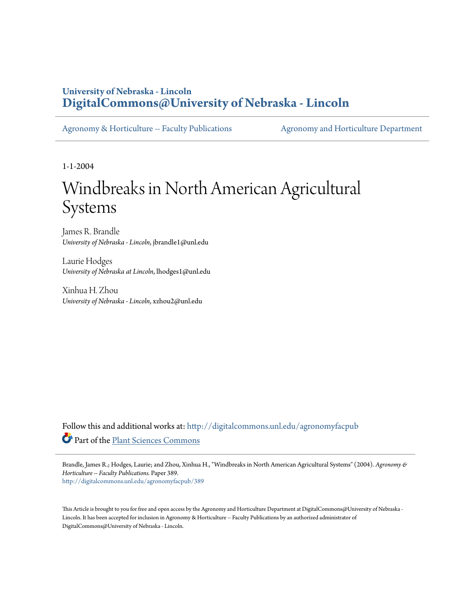### **University of Nebraska - Lincoln [DigitalCommons@University of Nebraska - Lincoln](http://digitalcommons.unl.edu?utm_source=digitalcommons.unl.edu%2Fagronomyfacpub%2F389&utm_medium=PDF&utm_campaign=PDFCoverPages)**

[Agronomy & Horticulture -- Faculty Publications](http://digitalcommons.unl.edu/agronomyfacpub?utm_source=digitalcommons.unl.edu%2Fagronomyfacpub%2F389&utm_medium=PDF&utm_campaign=PDFCoverPages) [Agronomy and Horticulture Department](http://digitalcommons.unl.edu/ag_agron?utm_source=digitalcommons.unl.edu%2Fagronomyfacpub%2F389&utm_medium=PDF&utm_campaign=PDFCoverPages)

1-1-2004

## Windbreaks in North American Agricultural Systems

James R. Brandle *University of Nebraska - Lincoln*, jbrandle1@unl.edu

Laurie Hodges *University of Nebraska at Lincoln*, lhodges1@unl.edu

Xinhua H. Zhou *University of Nebraska - Lincoln*, xzhou2@unl.edu

Follow this and additional works at: [http://digitalcommons.unl.edu/agronomyfacpub](http://digitalcommons.unl.edu/agronomyfacpub?utm_source=digitalcommons.unl.edu%2Fagronomyfacpub%2F389&utm_medium=PDF&utm_campaign=PDFCoverPages) Part of the [Plant Sciences Commons](http://network.bepress.com/hgg/discipline/102?utm_source=digitalcommons.unl.edu%2Fagronomyfacpub%2F389&utm_medium=PDF&utm_campaign=PDFCoverPages)

Brandle, James R.; Hodges, Laurie; and Zhou, Xinhua H., "Windbreaks in North American Agricultural Systems" (2004). *Agronomy & Horticulture -- Faculty Publications.* Paper 389. [http://digitalcommons.unl.edu/agronomyfacpub/389](http://digitalcommons.unl.edu/agronomyfacpub/389?utm_source=digitalcommons.unl.edu%2Fagronomyfacpub%2F389&utm_medium=PDF&utm_campaign=PDFCoverPages)

This Article is brought to you for free and open access by the Agronomy and Horticulture Department at DigitalCommons@University of Nebraska - Lincoln. It has been accepted for inclusion in Agronomy & Horticulture -- Faculty Publications by an authorized administrator of DigitalCommons@University of Nebraska - Lincoln.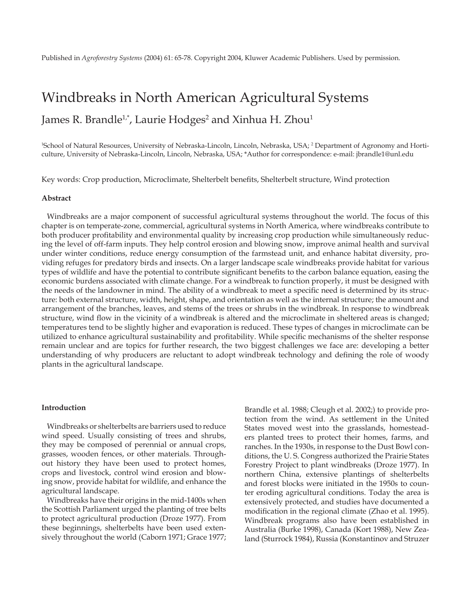# Windbreaks in North American Agricultural Systems

James R. Brandle<sup>1,\*</sup>, Laurie Hodges<sup>2</sup> and Xinhua H. Zhou<sup>1</sup>

<sup>1</sup>School of Natural Resources, University of Nebraska-Lincoln, Lincoln, Nebraska, USA; <sup>2</sup> Department of Agronomy and Horticulture, University of Nebraska-Lincoln, Lincoln, Nebraska, USA; \*Author for correspondence: e-mail: jbrandle1@unl.edu

Key words: Crop production, Microclimate, Shelterbelt benefits, Shelterbelt structure, Wind protection

#### **Abstract**

Windbreaks are a major component of successful agricultural systems throughout the world. The focus of this chapter is on temperate-zone, commercial, agricultural systems in North America, where windbreaks contribute to both producer profitability and environmental quality by increasing crop production while simultaneously reducing the level of off-farm inputs. They help control erosion and blowing snow, improve animal health and survival under winter conditions, reduce energy consumption of the farmstead unit, and enhance habitat diversity, providing refuges for predatory birds and insects. On a larger landscape scale windbreaks provide habitat for various types of wildlife and have the potential to contribute significant benefits to the carbon balance equation, easing the economic burdens associated with climate change. For a windbreak to function properly, it must be designed with the needs of the landowner in mind. The ability of a windbreak to meet a specific need is determined by its structure: both external structure, width, height, shape, and orientation as well as the internal structure; the amount and arrangement of the branches, leaves, and stems of the trees or shrubs in the windbreak. In response to windbreak structure, wind flow in the vicinity of a windbreak is altered and the microclimate in sheltered areas is changed; temperatures tend to be slightly higher and evaporation is reduced. These types of changes in microclimate can be utilized to enhance agricultural sustainability and profitability. While specific mechanisms of the shelter response remain unclear and are topics for further research, the two biggest challenges we face are: developing a better understanding of why producers are reluctant to adopt windbreak technology and defining the role of woody plants in the agricultural landscape.

#### **Introduction**

Windbreaks or shelterbelts are barriers used to reduce wind speed. Usually consisting of trees and shrubs, they may be composed of perennial or annual crops, grasses, wooden fences, or other materials. Throughout history they have been used to protect homes, crops and livestock, control wind erosion and blowing snow, provide habitat for wildlife, and enhance the agricultural landscape.

Windbreaks have their origins in the mid-1400s when the Scottish Parliament urged the planting of tree belts to protect agricultural production (Droze 1977). From these beginnings, shelterbelts have been used extensively throughout the world (Caborn 1971; Grace 1977; Brandle et al. 1988; Cleugh et al. 2002;) to provide protection from the wind. As settlement in the United States moved west into the grasslands, homesteaders planted trees to protect their homes, farms, and ranches. In the 1930s, in response to the Dust Bowl conditions, the U. S. Congress authorized the Prairie States Forestry Project to plant windbreaks (Droze 1977). In northern China, extensive plantings of shelterbelts and forest blocks were initiated in the 1950s to counter eroding agricultural conditions. Today the area is extensively protected, and studies have documented a modification in the regional climate (Zhao et al. 1995). Windbreak programs also have been established in Australia (Burke 1998), Canada (Kort 1988), New Zealand (Sturrock 1984), Russia (Konstantinov and Struzer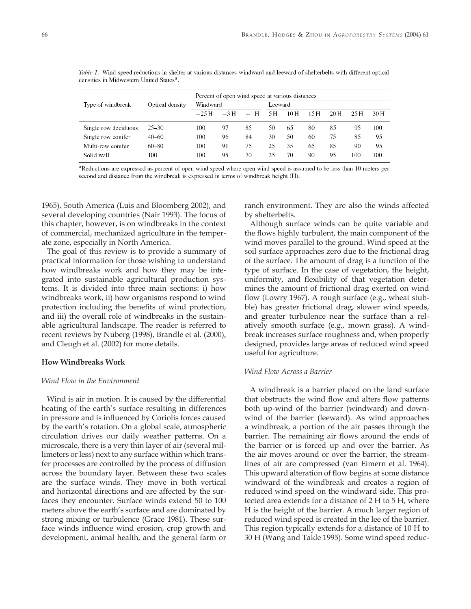| Type of windbreak    | Optical density | Windward |       | Percent of open wind speed at various distances<br>Leeward |     |      |      |      |      |      |
|----------------------|-----------------|----------|-------|------------------------------------------------------------|-----|------|------|------|------|------|
|                      |                 | $-25H$   | $-3H$ | $-1H$                                                      | 5 H | 10 H | 15 H | 20 H | 25 H | 30 H |
| Single row deciduous | $25 - 30$       | 100      | 97    | 85                                                         | 50  | 65   | 80   | 85   | 95   | 100  |
| Single row conifer   | $40 - 60$       | 100      | 96    | 84                                                         | 30  | 50   | 60   | 75   | 85   | 95   |
| Multi-row conifer    | $60 - 80$       | 100      | 91    | 75                                                         | 25  | 35   | 65   | 85   | 90   | 95   |
| Solid wall           | 100             | 100      | 95    | 70                                                         | 25  | 70   | 90   | 95   | 100  | 100  |

Table 1. Wind speed reductions in shelter at various distances windward and leeward of shelterbelts with different optical densities in Midwestern United States<sup>a</sup>.

<sup>a</sup>Reductions are expressed as percent of open wind speed where open wind speed is assumed to be less than 10 meters per second and distance from the windbreak is expressed in terms of windbreak height (H).

1965), South America (Luis and Bloomberg 2002), and several developing countries (Nair 1993). The focus of this chapter, however, is on windbreaks in the context of commercial, mechanized agriculture in the temperate zone, especially in North America.

The goal of this review is to provide a summary of practical information for those wishing to understand how windbreaks work and how they may be integrated into sustainable agricultural production systems. It is divided into three main sections: i) how windbreaks work, ii) how organisms respond to wind protection including the benefits of wind protection, and iii) the overall role of windbreaks in the sustainable agricultural landscape. The reader is referred to recent reviews by Nuberg (1998), Brandle et al. (2000), and Cleugh et al. (2002) for more details.

#### **How Windbreaks Work**

#### *Wind Flow in the Environment*

Wind is air in motion. It is caused by the differential heating of the earth's surface resulting in differences in pressure and is influenced by Coriolis forces caused by the earth's rotation. On a global scale, atmospheric circulation drives our daily weather patterns. On a microscale, there is a very thin layer of air (several millimeters or less) next to any surface within which transfer processes are controlled by the process of diffusion across the boundary layer. Between these two scales are the surface winds. They move in both vertical and horizontal directions and are affected by the surfaces they encounter. Surface winds extend 50 to 100 meters above the earth's surface and are dominated by strong mixing or turbulence (Grace 1981). These surface winds influence wind erosion, crop growth and development, animal health, and the general farm or ranch environment. They are also the winds affected by shelterbelts.

Although surface winds can be quite variable and the flows highly turbulent, the main component of the wind moves parallel to the ground. Wind speed at the soil surface approaches zero due to the frictional drag of the surface. The amount of drag is a function of the type of surface. In the case of vegetation, the height, uniformity, and flexibility of that vegetation determines the amount of frictional drag exerted on wind flow (Lowry 1967). A rough surface (e.g., wheat stubble) has greater frictional drag, slower wind speeds, and greater turbulence near the surface than a relatively smooth surface (e.g., mown grass). A windbreak increases surface roughness and, when properly designed, provides large areas of reduced wind speed useful for agriculture.

#### *Wind Flow Across a Barrier*

A windbreak is a barrier placed on the land surface that obstructs the wind flow and alters flow patterns both up-wind of the barrier (windward) and downwind of the barrier (leeward). As wind approaches a windbreak, a portion of the air passes through the barrier. The remaining air flows around the ends of the barrier or is forced up and over the barrier. As the air moves around or over the barrier, the streamlines of air are compressed (van Eimern et al. 1964). This upward alteration of flow begins at some distance windward of the windbreak and creates a region of reduced wind speed on the windward side. This protected area extends for a distance of 2 H to 5 H, where H is the height of the barrier. A much larger region of reduced wind speed is created in the lee of the barrier. This region typically extends for a distance of 10 H to 30 H (Wang and Takle 1995). Some wind speed reduc-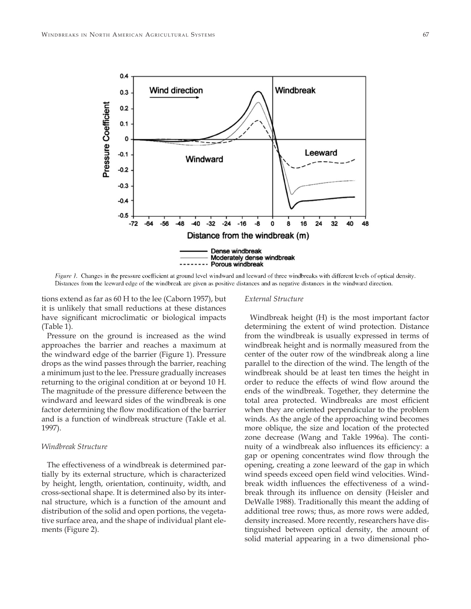

Figure 1. Changes in the pressure coefficient at ground level windward and leeward of three windbreaks with different levels of optical density. Distances from the leeward edge of the windbreak are given as positive distances and as negative distances in the windward direction.

tions extend as far as 60 H to the lee (Caborn 1957), but it is unlikely that small reductions at these distances have significant microclimatic or biological impacts (Table 1).

Pressure on the ground is increased as the wind approaches the barrier and reaches a maximum at the windward edge of the barrier (Figure 1). Pressure drops as the wind passes through the barrier, reaching a minimum just to the lee. Pressure gradually increases returning to the original condition at or beyond 10 H. The magnitude of the pressure difference between the windward and leeward sides of the windbreak is one factor determining the flow modification of the barrier and is a function of windbreak structure (Takle et al. 1997).

#### *Windbreak Structure*

The effectiveness of a windbreak is determined partially by its external structure, which is characterized by height, length, orientation, continuity, width, and cross-sectional shape. It is determined also by its internal structure, which is a function of the amount and distribution of the solid and open portions, the vegetative surface area, and the shape of individual plant elements (Figure 2).

#### *External Structure*

Windbreak height (H) is the most important factor determining the extent of wind protection. Distance from the windbreak is usually expressed in terms of windbreak height and is normally measured from the center of the outer row of the windbreak along a line parallel to the direction of the wind. The length of the windbreak should be at least ten times the height in order to reduce the effects of wind flow around the ends of the windbreak. Together, they determine the total area protected. Windbreaks are most efficient when they are oriented perpendicular to the problem winds. As the angle of the approaching wind becomes more oblique, the size and location of the protected zone decrease (Wang and Takle 1996a). The continuity of a windbreak also influences its efficiency: a gap or opening concentrates wind flow through the opening, creating a zone leeward of the gap in which wind speeds exceed open field wind velocities. Windbreak width influences the effectiveness of a windbreak through its influence on density (Heisler and DeWalle 1988). Traditionally this meant the adding of additional tree rows; thus, as more rows were added, density increased. More recently, researchers have distinguished between optical density, the amount of solid material appearing in a two dimensional pho-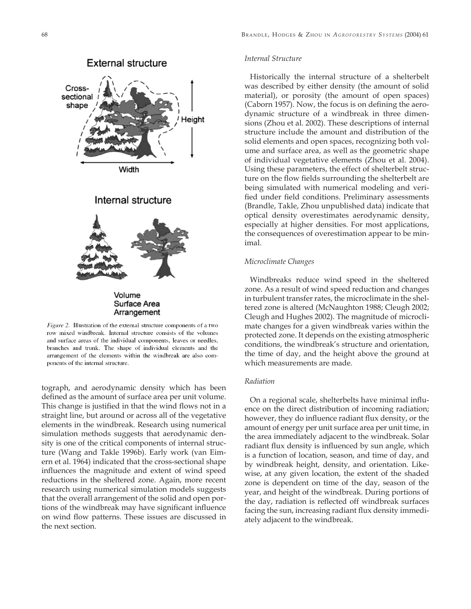

Figure 2. Illustration of the external structure components of a two row mixed windbreak. Internal structure consists of the volumes and surface areas of the individual components, leaves or needles, branches and trunk. The shape of individual elements and the arrangement of the elements within the windbreak are also components of the internal structure.

tograph, and aerodynamic density which has been defined as the amount of surface area per unit volume. This change is justified in that the wind flows not in a straight line, but around or across all of the vegetative elements in the windbreak. Research using numerical simulation methods suggests that aerodynamic density is one of the critical components of internal structure (Wang and Takle 1996b). Early work (van Eimern et al. 1964) indicated that the cross-sectional shape influences the magnitude and extent of wind speed reductions in the sheltered zone. Again, more recent research using numerical simulation models suggests that the overall arrangement of the solid and open portions of the windbreak may have significant influence on wind flow patterns. These issues are discussed in the next section.

#### *Internal Structure*

Historically the internal structure of a shelterbelt was described by either density (the amount of solid material), or porosity (the amount of open spaces) (Caborn 1957). Now, the focus is on defining the aerodynamic structure of a windbreak in three dimensions (Zhou et al. 2002). These descriptions of internal structure include the amount and distribution of the solid elements and open spaces, recognizing both volume and surface area, as well as the geometric shape of individual vegetative elements (Zhou et al. 2004). Using these parameters, the effect of shelterbelt structure on the flow fields surrounding the shelterbelt are being simulated with numerical modeling and verified under field conditions. Preliminary assessments (Brandle, Takle, Zhou unpublished data) indicate that optical density overestimates aerodynamic density, especially at higher densities. For most applications, the consequences of overestimation appear to be minimal.

#### *Microclimate Changes*

Windbreaks reduce wind speed in the sheltered zone. As a result of wind speed reduction and changes in turbulent transfer rates, the microclimate in the sheltered zone is altered (McNaughton 1988; Cleugh 2002; Cleugh and Hughes 2002). The magnitude of microclimate changes for a given windbreak varies within the protected zone. It depends on the existing atmospheric conditions, the windbreak's structure and orientation, the time of day, and the height above the ground at which measurements are made.

#### *Radiation*

On a regional scale, shelterbelts have minimal influence on the direct distribution of incoming radiation; however, they do influence radiant flux density, or the amount of energy per unit surface area per unit time, in the area immediately adjacent to the windbreak. Solar radiant flux density is influenced by sun angle, which is a function of location, season, and time of day, and by windbreak height, density, and orientation. Likewise, at any given location, the extent of the shaded zone is dependent on time of the day, season of the year, and height of the windbreak. During portions of the day, radiation is reflected off windbreak surfaces facing the sun, increasing radiant flux density immediately adjacent to the windbreak.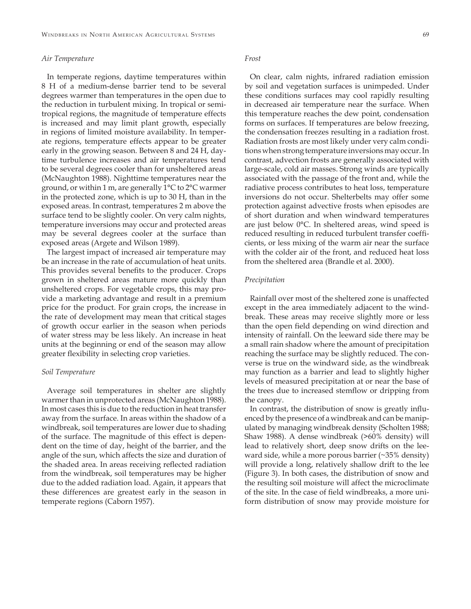#### *Air Temperature*

In temperate regions, daytime temperatures within 8 H of a medium-dense barrier tend to be several degrees warmer than temperatures in the open due to the reduction in turbulent mixing. In tropical or semitropical regions, the magnitude of temperature effects is increased and may limit plant growth, especially in regions of limited moisture availability. In temperate regions, temperature effects appear to be greater early in the growing season. Between 8 and 24 H, daytime turbulence increases and air temperatures tend to be several degrees cooler than for unsheltered areas (McNaughton 1988). Nighttime temperatures near the ground, or within 1 m, are generally 1°C to 2°C warmer in the protected zone, which is up to 30 H, than in the exposed areas. In contrast, temperatures 2 m above the surface tend to be slightly cooler. On very calm nights, temperature inversions may occur and protected areas may be several degrees cooler at the surface than exposed areas (Argete and Wilson 1989).

The largest impact of increased air temperature may be an increase in the rate of accumulation of heat units. This provides several benefits to the producer. Crops grown in sheltered areas mature more quickly than unsheltered crops. For vegetable crops, this may provide a marketing advantage and result in a premium price for the product. For grain crops, the increase in the rate of development may mean that critical stages of growth occur earlier in the season when periods of water stress may be less likely. An increase in heat units at the beginning or end of the season may allow greater flexibility in selecting crop varieties.

#### *Soil Temperature*

Average soil temperatures in shelter are slightly warmer than in unprotected areas (McNaughton 1988). In most cases this is due to the reduction in heat transfer away from the surface. In areas within the shadow of a windbreak, soil temperatures are lower due to shading of the surface. The magnitude of this effect is dependent on the time of day, height of the barrier, and the angle of the sun, which affects the size and duration of the shaded area. In areas receiving reflected radiation from the windbreak, soil temperatures may be higher due to the added radiation load. Again, it appears that these differences are greatest early in the season in temperate regions (Caborn 1957).

On clear, calm nights, infrared radiation emission by soil and vegetation surfaces is unimpeded. Under these conditions surfaces may cool rapidly resulting in decreased air temperature near the surface. When this temperature reaches the dew point, condensation forms on surfaces. If temperatures are below freezing, the condensation freezes resulting in a radiation frost. Radiation frosts are most likely under very calm conditions when strong temperature inversions may occur. In contrast, advection frosts are generally associated with large-scale, cold air masses. Strong winds are typically associated with the passage of the front and, while the radiative process contributes to heat loss, temperature inversions do not occur. Shelterbelts may offer some protection against advective frosts when episodes are of short duration and when windward temperatures are just below 0°C. In sheltered areas, wind speed is reduced resulting in reduced turbulent transfer coefficients, or less mixing of the warm air near the surface with the colder air of the front, and reduced heat loss from the sheltered area (Brandle et al. 2000).

#### *Precipitation*

Rainfall over most of the sheltered zone is unaffected except in the area immediately adjacent to the windbreak. These areas may receive slightly more or less than the open field depending on wind direction and intensity of rainfall. On the leeward side there may be a small rain shadow where the amount of precipitation reaching the surface may be slightly reduced. The converse is true on the windward side, as the windbreak may function as a barrier and lead to slightly higher levels of measured precipitation at or near the base of the trees due to increased stemflow or dripping from the canopy.

In contrast, the distribution of snow is greatly influenced by the presence of a windbreak and can be manipulated by managing windbreak density (Scholten 1988; Shaw 1988). A dense windbreak (>60% density) will lead to relatively short, deep snow drifts on the leeward side, while a more porous barrier (~35% density) will provide a long, relatively shallow drift to the lee (Figure 3). In both cases, the distribution of snow and the resulting soil moisture will affect the microclimate of the site. In the case of field windbreaks, a more uniform distribution of snow may provide moisture for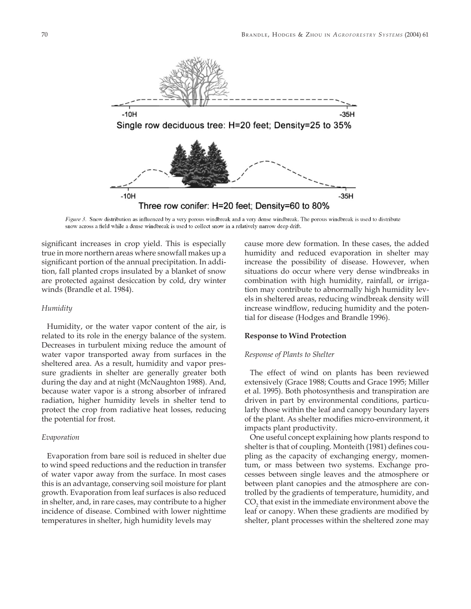

Figure 3. Snow distribution as influenced by a very porous windbreak and a very dense windbreak. The porous windbreak is used to distribute snow across a field while a dense windbreak is used to collect snow in a relatively narrow deep drift.

significant increases in crop yield. This is especially true in more northern areas where snowfall makes up a significant portion of the annual precipitation. In addition, fall planted crops insulated by a blanket of snow are protected against desiccation by cold, dry winter winds (Brandle et al. 1984).

#### *Humidity*

Humidity, or the water vapor content of the air, is related to its role in the energy balance of the system. Decreases in turbulent mixing reduce the amount of water vapor transported away from surfaces in the sheltered area. As a result, humidity and vapor pressure gradients in shelter are generally greater both during the day and at night (McNaughton 1988). And, because water vapor is a strong absorber of infrared radiation, higher humidity levels in shelter tend to protect the crop from radiative heat losses, reducing the potential for frost.

#### *Evaporation*

Evaporation from bare soil is reduced in shelter due to wind speed reductions and the reduction in transfer of water vapor away from the surface. In most cases this is an advantage, conserving soil moisture for plant growth. Evaporation from leaf surfaces is also reduced in shelter, and, in rare cases, may contribute to a higher incidence of disease. Combined with lower nighttime temperatures in shelter, high humidity levels may

cause more dew formation. In these cases, the added humidity and reduced evaporation in shelter may increase the possibility of disease. However, when situations do occur where very dense windbreaks in combination with high humidity, rainfall, or irrigation may contribute to abnormally high humidity levels in sheltered areas, reducing windbreak density will increase windflow, reducing humidity and the potential for disease (Hodges and Brandle 1996).

#### **Response to Wind Protection**

#### *Response of Plants to Shelter*

The effect of wind on plants has been reviewed extensively (Grace 1988; Coutts and Grace 1995; Miller et al. 1995). Both photosynthesis and transpiration are driven in part by environmental conditions, particularly those within the leaf and canopy boundary layers of the plant. As shelter modifies micro-environment, it impacts plant productivity.

One useful concept explaining how plants respond to shelter is that of coupling. Monteith (1981) defines coupling as the capacity of exchanging energy, momentum, or mass between two systems. Exchange processes between single leaves and the atmosphere or between plant canopies and the atmosphere are controlled by the gradients of temperature, humidity, and  $\mathrm{CO}_2^{}$  that exist in the immediate environment above the leaf or canopy. When these gradients are modified by shelter, plant processes within the sheltered zone may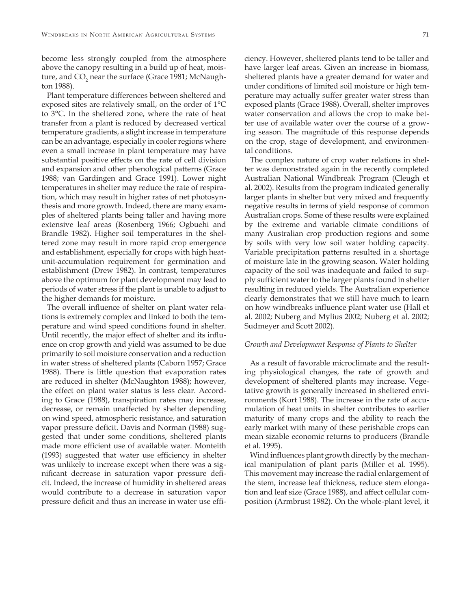become less strongly coupled from the atmosphere above the canopy resulting in a build up of heat, moisture, and  $\mathrm{CO}_2^{}$  near the surface (Grace 1981; McNaughton 1988).

Plant temperature differences between sheltered and exposed sites are relatively small, on the order of 1°C to 3°C. In the sheltered zone, where the rate of heat transfer from a plant is reduced by decreased vertical temperature gradients, a slight increase in temperature can be an advantage, especially in cooler regions where even a small increase in plant temperature may have substantial positive effects on the rate of cell division and expansion and other phenological patterns (Grace 1988; van Gardingen and Grace 1991). Lower night temperatures in shelter may reduce the rate of respiration, which may result in higher rates of net photosynthesis and more growth. Indeed, there are many examples of sheltered plants being taller and having more extensive leaf areas (Rosenberg 1966; Ogbuehi and Brandle 1982). Higher soil temperatures in the sheltered zone may result in more rapid crop emergence and establishment, especially for crops with high heatunit-accumulation requirement for germination and establishment (Drew 1982). In contrast, temperatures above the optimum for plant development may lead to periods of water stress if the plant is unable to adjust to the higher demands for moisture.

The overall influence of shelter on plant water relations is extremely complex and linked to both the temperature and wind speed conditions found in shelter. Until recently, the major effect of shelter and its influence on crop growth and yield was assumed to be due primarily to soil moisture conservation and a reduction in water stress of sheltered plants (Caborn 1957; Grace 1988). There is little question that evaporation rates are reduced in shelter (McNaughton 1988); however, the effect on plant water status is less clear. According to Grace (1988), transpiration rates may increase, decrease, or remain unaffected by shelter depending on wind speed, atmospheric resistance, and saturation vapor pressure deficit. Davis and Norman (1988) suggested that under some conditions, sheltered plants made more efficient use of available water. Monteith (1993) suggested that water use efficiency in shelter was unlikely to increase except when there was a significant decrease in saturation vapor pressure deficit. Indeed, the increase of humidity in sheltered areas would contribute to a decrease in saturation vapor pressure deficit and thus an increase in water use efficiency. However, sheltered plants tend to be taller and have larger leaf areas. Given an increase in biomass, sheltered plants have a greater demand for water and under conditions of limited soil moisture or high temperature may actually suffer greater water stress than exposed plants (Grace 1988). Overall, shelter improves water conservation and allows the crop to make better use of available water over the course of a growing season. The magnitude of this response depends on the crop, stage of development, and environmental conditions.

The complex nature of crop water relations in shelter was demonstrated again in the recently completed Australian National Windbreak Program (Cleugh et al. 2002). Results from the program indicated generally larger plants in shelter but very mixed and frequently negative results in terms of yield response of common Australian crops. Some of these results were explained by the extreme and variable climate conditions of many Australian crop production regions and some by soils with very low soil water holding capacity. Variable precipitation patterns resulted in a shortage of moisture late in the growing season. Water holding capacity of the soil was inadequate and failed to supply sufficient water to the larger plants found in shelter resulting in reduced yields. The Australian experience clearly demonstrates that we still have much to learn on how windbreaks influence plant water use (Hall et al. 2002; Nuberg and Mylius 2002; Nuberg et al. 2002; Sudmeyer and Scott 2002).

#### *Growth and Development Response of Plants to Shelter*

As a result of favorable microclimate and the resulting physiological changes, the rate of growth and development of sheltered plants may increase. Vegetative growth is generally increased in sheltered environments (Kort 1988). The increase in the rate of accumulation of heat units in shelter contributes to earlier maturity of many crops and the ability to reach the early market with many of these perishable crops can mean sizable economic returns to producers (Brandle et al. 1995).

Wind influences plant growth directly by the mechanical manipulation of plant parts (Miller et al. 1995). This movement may increase the radial enlargement of the stem, increase leaf thickness, reduce stem elongation and leaf size (Grace 1988), and affect cellular composition (Armbrust 1982). On the whole-plant level, it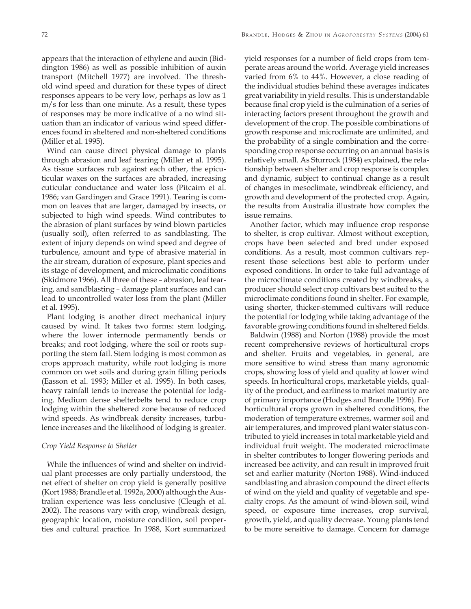appears that the interaction of ethylene and auxin (Biddington 1986) as well as possible inhibition of auxin transport (Mitchell 1977) are involved. The threshold wind speed and duration for these types of direct responses appears to be very low, perhaps as low as 1 m/s for less than one minute. As a result, these types of responses may be more indicative of a no wind situation than an indicator of various wind speed differences found in sheltered and non-sheltered conditions (Miller et al. 1995).

Wind can cause direct physical damage to plants through abrasion and leaf tearing (Miller et al. 1995). As tissue surfaces rub against each other, the epicuticular waxes on the surfaces are abraded, increasing cuticular conductance and water loss (Pitcairn et al. 1986; van Gardingen and Grace 1991). Tearing is common on leaves that are larger, damaged by insects, or subjected to high wind speeds. Wind contributes to the abrasion of plant surfaces by wind blown particles (usually soil), often referred to as sandblasting. The extent of injury depends on wind speed and degree of turbulence, amount and type of abrasive material in the air stream, duration of exposure, plant species and its stage of development, and microclimatic conditions (Skidmore 1966). All three of these – abrasion, leaf tearing, and sandblasting – damage plant surfaces and can lead to uncontrolled water loss from the plant (Miller et al. 1995).

Plant lodging is another direct mechanical injury caused by wind. It takes two forms: stem lodging, where the lower internode permanently bends or breaks; and root lodging, where the soil or roots supporting the stem fail. Stem lodging is most common as crops approach maturity, while root lodging is more common on wet soils and during grain filling periods (Easson et al. 1993; Miller et al. 1995). In both cases, heavy rainfall tends to increase the potential for lodging. Medium dense shelterbelts tend to reduce crop lodging within the sheltered zone because of reduced wind speeds. As windbreak density increases, turbulence increases and the likelihood of lodging is greater.

#### *Crop Yield Response to Shelter*

While the influences of wind and shelter on individual plant processes are only partially understood, the net effect of shelter on crop yield is generally positive (Kort 1988; Brandle et al. 1992a, 2000) although the Australian experience was less conclusive (Cleugh et al. 2002). The reasons vary with crop, windbreak design, geographic location, moisture condition, soil properties and cultural practice. In 1988, Kort summarized yield responses for a number of field crops from temperate areas around the world. Average yield increases varied from 6% to 44%. However, a close reading of the individual studies behind these averages indicates great variability in yield results. This is understandable because final crop yield is the culmination of a series of interacting factors present throughout the growth and development of the crop. The possible combinations of growth response and microclimate are unlimited, and the probability of a single combination and the corresponding crop response occurring on an annual basis is relatively small. As Sturrock (1984) explained, the relationship between shelter and crop response is complex and dynamic, subject to continual change as a result of changes in mesoclimate, windbreak efficiency, and growth and development of the protected crop. Again, the results from Australia illustrate how complex the issue remains.

Another factor, which may influence crop response to shelter, is crop cultivar. Almost without exception, crops have been selected and bred under exposed conditions. As a result, most common cultivars represent those selections best able to perform under exposed conditions. In order to take full advantage of the microclimate conditions created by windbreaks, a producer should select crop cultivars best suited to the microclimate conditions found in shelter. For example, using shorter, thicker-stemmed cultivars will reduce the potential for lodging while taking advantage of the favorable growing conditions found in sheltered fields.

Baldwin (1988) and Norton (1988) provide the most recent comprehensive reviews of horticultural crops and shelter. Fruits and vegetables, in general, are more sensitive to wind stress than many agronomic crops, showing loss of yield and quality at lower wind speeds. In horticultural crops, marketable yields, quality of the product, and earliness to market maturity are of primary importance (Hodges and Brandle 1996). For horticultural crops grown in sheltered conditions, the moderation of temperature extremes, warmer soil and air temperatures, and improved plant water status contributed to yield increases in total marketable yield and individual fruit weight. The moderated microclimate in shelter contributes to longer flowering periods and increased bee activity, and can result in improved fruit set and earlier maturity (Norton 1988). Wind-induced sandblasting and abrasion compound the direct effects of wind on the yield and quality of vegetable and specialty crops. As the amount of wind-blown soil, wind speed, or exposure time increases, crop survival, growth, yield, and quality decrease. Young plants tend to be more sensitive to damage. Concern for damage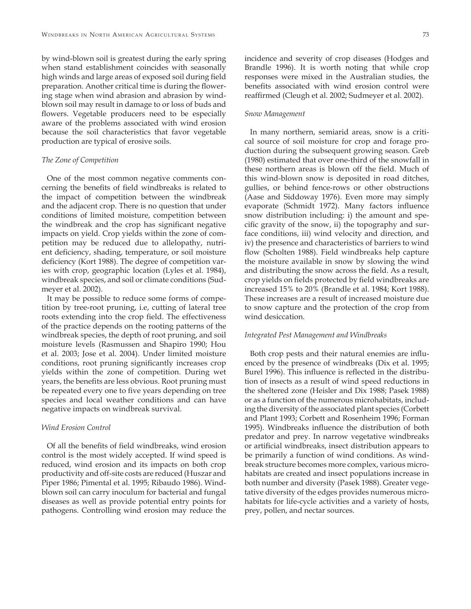by wind-blown soil is greatest during the early spring when stand establishment coincides with seasonally high winds and large areas of exposed soil during field preparation. Another critical time is during the flowering stage when wind abrasion and abrasion by windblown soil may result in damage to or loss of buds and flowers. Vegetable producers need to be especially aware of the problems associated with wind erosion because the soil characteristics that favor vegetable production are typical of erosive soils.

#### *The Zone of Competition*

One of the most common negative comments concerning the benefits of field windbreaks is related to the impact of competition between the windbreak and the adjacent crop. There is no question that under conditions of limited moisture, competition between the windbreak and the crop has significant negative impacts on yield. Crop yields within the zone of competition may be reduced due to allelopathy, nutrient deficiency, shading, temperature, or soil moisture deficiency (Kort 1988). The degree of competition varies with crop, geographic location (Lyles et al. 1984), windbreak species, and soil or climate conditions (Sudmeyer et al. 2002).

It may be possible to reduce some forms of competition by tree-root pruning, i.e, cutting of lateral tree roots extending into the crop field. The effectiveness of the practice depends on the rooting patterns of the windbreak species, the depth of root pruning, and soil moisture levels (Rasmussen and Shapiro 1990; Hou et al. 2003; Jose et al. 2004). Under limited moisture conditions, root pruning significantly increases crop yields within the zone of competition. During wet years, the benefits are less obvious. Root pruning must be repeated every one to five years depending on tree species and local weather conditions and can have negative impacts on windbreak survival.

#### *Wind Erosion Control*

Of all the benefits of field windbreaks, wind erosion control is the most widely accepted. If wind speed is reduced, wind erosion and its impacts on both crop productivity and off-site costs are reduced (Huszar and Piper 1986; Pimental et al. 1995; Ribaudo 1986). Windblown soil can carry inoculum for bacterial and fungal diseases as well as provide potential entry points for pathogens. Controlling wind erosion may reduce the

incidence and severity of crop diseases (Hodges and Brandle 1996). It is worth noting that while crop responses were mixed in the Australian studies, the benefits associated with wind erosion control were reaffirmed (Cleugh et al. 2002; Sudmeyer et al. 2002).

#### *Snow Management*

In many northern, semiarid areas, snow is a critical source of soil moisture for crop and forage production during the subsequent growing season. Greb (1980) estimated that over one-third of the snowfall in these northern areas is blown off the field. Much of this wind-blown snow is deposited in road ditches, gullies, or behind fence-rows or other obstructions (Aase and Siddoway 1976). Even more may simply evaporate (Schmidt 1972). Many factors influence snow distribution including: i) the amount and specific gravity of the snow, ii) the topography and surface conditions, iii) wind velocity and direction, and iv) the presence and characteristics of barriers to wind flow (Scholten 1988). Field windbreaks help capture the moisture available in snow by slowing the wind and distributing the snow across the field. As a result, crop yields on fields protected by field windbreaks are increased 15% to 20% (Brandle et al. 1984; Kort 1988). These increases are a result of increased moisture due to snow capture and the protection of the crop from wind desiccation.

#### *Integrated Pest Management and Windbreaks*

Both crop pests and their natural enemies are influenced by the presence of windbreaks (Dix et al. 1995; Burel 1996). This influence is reflected in the distribution of insects as a result of wind speed reductions in the sheltered zone (Heisler and Dix 1988; Pasek 1988) or as a function of the numerous microhabitats, including the diversity of the associated plant species (Corbett and Plant 1993; Corbett and Rosenheim 1996; Forman 1995). Windbreaks influence the distribution of both predator and prey. In narrow vegetative windbreaks or artificial windbreaks, insect distribution appears to be primarily a function of wind conditions. As windbreak structure becomes more complex, various microhabitats are created and insect populations increase in both number and diversity (Pasek 1988). Greater vegetative diversity of the edges provides numerous microhabitats for life-cycle activities and a variety of hosts, prey, pollen, and nectar sources.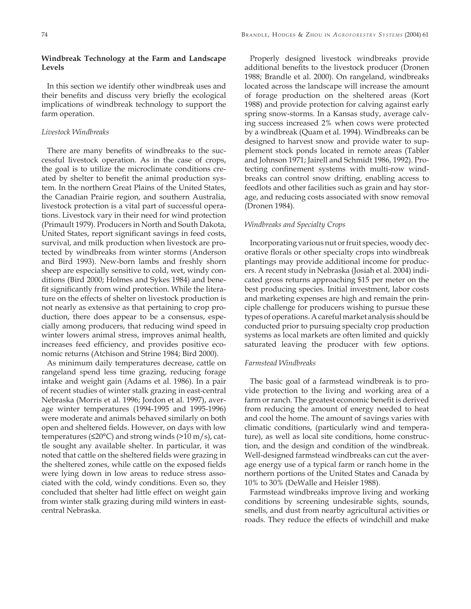#### **Windbreak Technology at the Farm and Landscape Levels**

In this section we identify other windbreak uses and their benefits and discuss very briefly the ecological implications of windbreak technology to support the farm operation.

#### *Livestock Windbreaks*

There are many benefits of windbreaks to the successful livestock operation. As in the case of crops, the goal is to utilize the microclimate conditions created by shelter to benefit the animal production system. In the northern Great Plains of the United States, the Canadian Prairie region, and southern Australia, livestock protection is a vital part of successful operations. Livestock vary in their need for wind protection (Primault 1979). Producers in North and South Dakota, United States, report significant savings in feed costs, survival, and milk production when livestock are protected by windbreaks from winter storms (Anderson and Bird 1993). New-born lambs and freshly shorn sheep are especially sensitive to cold, wet, windy conditions (Bird 2000; Holmes and Sykes 1984) and benefit significantly from wind protection. While the literature on the effects of shelter on livestock production is not nearly as extensive as that pertaining to crop production, there does appear to be a consensus, especially among producers, that reducing wind speed in winter lowers animal stress, improves animal health, increases feed efficiency, and provides positive economic returns (Atchison and Strine 1984; Bird 2000).

As minimum daily temperatures decrease, cattle on rangeland spend less time grazing, reducing forage intake and weight gain (Adams et al. 1986). In a pair of recent studies of winter stalk grazing in east-central Nebraska (Morris et al. 1996; Jordon et al. 1997), average winter temperatures (1994-1995 and 1995-1996) were moderate and animals behaved similarly on both open and sheltered fields. However, on days with low temperatures ( $\leq$ 20°C) and strong winds (>10 m/s), cattle sought any available shelter. In particular, it was noted that cattle on the sheltered fields were grazing in the sheltered zones, while cattle on the exposed fields were lying down in low areas to reduce stress associated with the cold, windy conditions. Even so, they concluded that shelter had little effect on weight gain from winter stalk grazing during mild winters in eastcentral Nebraska.

Properly designed livestock windbreaks provide additional benefits to the livestock producer (Dronen 1988; Brandle et al. 2000). On rangeland, windbreaks located across the landscape will increase the amount of forage production on the sheltered areas (Kort 1988) and provide protection for calving against early spring snow-storms. In a Kansas study, average calving success increased 2% when cows were protected by a windbreak (Quam et al. 1994). Windbreaks can be designed to harvest snow and provide water to supplement stock ponds located in remote areas (Tabler and Johnson 1971; Jairell and Schmidt 1986, 1992). Protecting confinement systems with multi-row windbreaks can control snow drifting, enabling access to feedlots and other facilities such as grain and hay storage, and reducing costs associated with snow removal (Dronen 1984).

#### *Windbreaks and Specialty Crops*

Incorporating various nut or fruit species, woody decorative florals or other specialty crops into windbreak plantings may provide additional income for producers. A recent study in Nebraska (Josiah et al. 2004) indicated gross returns approaching \$15 per meter on the best producing species. Initial investment, labor costs and marketing expenses are high and remain the principle challenge for producers wishing to pursue these types of operations. A careful market analysis should be conducted prior to pursuing specialty crop production systems as local markets are often limited and quickly saturated leaving the producer with few options.

#### *Farmstead Windbreaks*

The basic goal of a farmstead windbreak is to provide protection to the living and working area of a farm or ranch. The greatest economic benefit is derived from reducing the amount of energy needed to heat and cool the home. The amount of savings varies with climatic conditions, (particularly wind and temperature), as well as local site conditions, home construction, and the design and condition of the windbreak. Well-designed farmstead windbreaks can cut the average energy use of a typical farm or ranch home in the northern portions of the United States and Canada by 10% to 30% (DeWalle and Heisler 1988).

Farmstead windbreaks improve living and working conditions by screening undesirable sights, sounds, smells, and dust from nearby agricultural activities or roads. They reduce the effects of windchill and make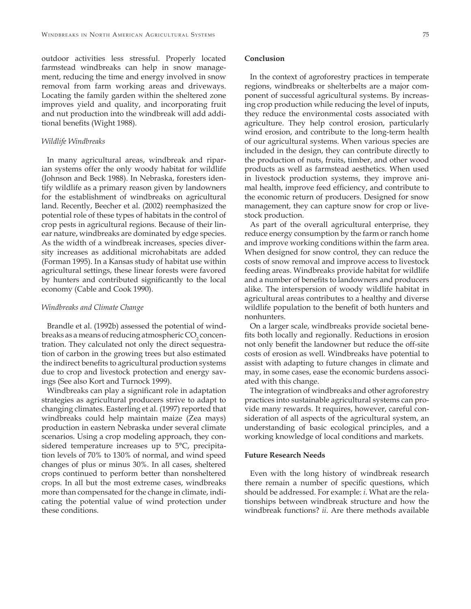outdoor activities less stressful. Properly located farmstead windbreaks can help in snow management, reducing the time and energy involved in snow removal from farm working areas and driveways. Locating the family garden within the sheltered zone improves yield and quality, and incorporating fruit and nut production into the windbreak will add additional benefits (Wight 1988).

#### *Wildlife Windbreaks*

In many agricultural areas, windbreak and riparian systems offer the only woody habitat for wildlife (Johnson and Beck 1988). In Nebraska, foresters identify wildlife as a primary reason given by landowners for the establishment of windbreaks on agricultural land. Recently, Beecher et al. (2002) reemphasized the potential role of these types of habitats in the control of crop pests in agricultural regions. Because of their linear nature, windbreaks are dominated by edge species. As the width of a windbreak increases, species diversity increases as additional microhabitats are added (Forman 1995). In a Kansas study of habitat use within agricultural settings, these linear forests were favored by hunters and contributed significantly to the local economy (Cable and Cook 1990).

#### *Windbreaks and Climate Change*

Brandle et al. (1992b) assessed the potential of windbreaks as a means of reducing atmospheric CO<sub>2</sub> concentration. They calculated not only the direct sequestration of carbon in the growing trees but also estimated the indirect benefits to agricultural production systems due to crop and livestock protection and energy savings (See also Kort and Turnock 1999).

Windbreaks can play a significant role in adaptation strategies as agricultural producers strive to adapt to changing climates. Easterling et al. (1997) reported that windbreaks could help maintain maize (Zea mays) production in eastern Nebraska under several climate scenarios. Using a crop modeling approach, they considered temperature increases up to 5°C, precipitation levels of 70% to 130% of normal, and wind speed changes of plus or minus 30%. In all cases, sheltered crops continued to perform better than nonsheltered crops. In all but the most extreme cases, windbreaks more than compensated for the change in climate, indicating the potential value of wind protection under these conditions.

In the context of agroforestry practices in temperate regions, windbreaks or shelterbelts are a major component of successful agricultural systems. By increasing crop production while reducing the level of inputs, they reduce the environmental costs associated with agriculture. They help control erosion, particularly wind erosion, and contribute to the long-term health of our agricultural systems. When various species are included in the design, they can contribute directly to the production of nuts, fruits, timber, and other wood products as well as farmstead aesthetics. When used in livestock production systems, they improve animal health, improve feed efficiency, and contribute to the economic return of producers. Designed for snow management, they can capture snow for crop or livestock production.

As part of the overall agricultural enterprise, they reduce energy consumption by the farm or ranch home and improve working conditions within the farm area. When designed for snow control, they can reduce the costs of snow removal and improve access to livestock feeding areas. Windbreaks provide habitat for wildlife and a number of benefits to landowners and producers alike. The interspersion of woody wildlife habitat in agricultural areas contributes to a healthy and diverse wildlife population to the benefit of both hunters and nonhunters.

On a larger scale, windbreaks provide societal benefits both locally and regionally. Reductions in erosion not only benefit the landowner but reduce the off-site costs of erosion as well. Windbreaks have potential to assist with adapting to future changes in climate and may, in some cases, ease the economic burdens associated with this change.

The integration of windbreaks and other agroforestry practices into sustainable agricultural systems can provide many rewards. It requires, however, careful consideration of all aspects of the agricultural system, an understanding of basic ecological principles, and a working knowledge of local conditions and markets.

#### **Future Research Needs**

Even with the long history of windbreak research there remain a number of specific questions, which should be addressed. For example: *i*. What are the relationships between windbreak structure and how the windbreak functions? *ii*. Are there methods available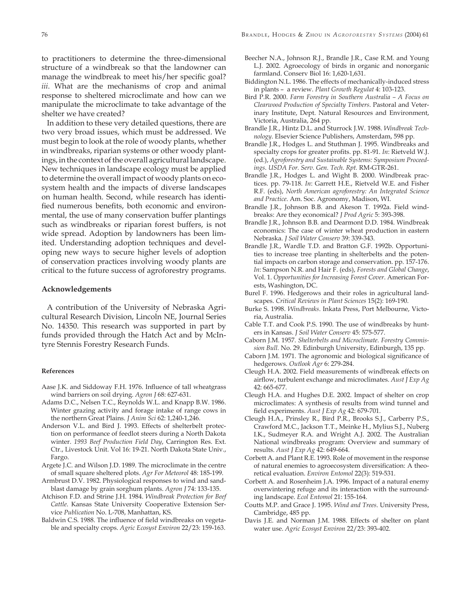In addition to these very detailed questions, there are two very broad issues, which must be addressed. We must begin to look at the role of woody plants, whether in windbreaks, riparian systems or other woody plantings, in the context of the overall agricultural landscape. New techniques in landscape ecology must be applied to determine the overall impact of woody plants on ecosystem health and the impacts of diverse landscapes on human health. Second, while research has identified numerous benefits, both economic and environmental, the use of many conservation buffer plantings such as windbreaks or riparian forest buffers, is not wide spread. Adoption by landowners has been limited. Understanding adoption techniques and developing new ways to secure higher levels of adoption of conservation practices involving woody plants are critical to the future success of agroforestry programs.

#### **Acknowledgements**

A contribution of the University of Nebraska Agricultural Research Division, Lincoln NE, Journal Series No. 14350. This research was supported in part by funds provided through the Hatch Act and by McIntyre Stennis Forestry Research Funds.

#### **References**

- Aase J.K. and Siddoway F.H. 1976. Influence of tall wheatgrass wind barriers on soil drying. *Agron J* 68: 627-631.
- Adams D.C., Nelsen T.C., Reynolds W.L. and Knapp B.W. 1986. Winter grazing activity and forage intake of range cows in the northern Great Plains. *J Anim Sci* 62: 1,240-1,246.
- Anderson V.L. and Bird J. 1993. Effects of shelterbelt protection on performance of feedlot steers during a North Dakota winter. *1993 Beef Production Field Day*, Carrington Res. Ext. Ctr., Livestock Unit. Vol 16: 19-21. North Dakota State Univ., Fargo.
- Argete J.C. and Wilson J.D. 1989. The microclimate in the centre of small square sheltered plots. *Agr For Meteorol* 48: 185-199.
- Armbrust D.V. 1982. Physiological responses to wind and sandblast damage by grain sorghum plants. *Agron J* 74: 133-135.
- Atchison F.D. and Strine J.H. 1984. *Windbreak Protection for Beef Cattle*. Kansas State University Cooperative Extension Service *Publication* No. L-708, Manhattan, KS.
- Baldwin C.S. 1988. The influence of field windbreaks on vegetable and specialty crops. *Agric Ecosyst Environ* 22/23: 159-163.
- Beecher N.A., Johnson R.J., Brandle J.R., Case R.M. and Young L.J. 2002. Agroecology of birds in organic and nonorganic farmland. Conserv Biol 16: 1,620-1,631.
- Biddington N.L. 1986. The effects of mechanically-induced stress in plants – a review. *Plant Growth Regulat* 4: 103-123.
- Bird P.R. 2000. *Farm Forestry in Southern Australia A Focus on Clearwood Production of Specialty Timbers*. Pastoral and Veterinary Institute, Dept. Natural Resources and Environment, Victoria, Australia, 264 pp.
- Brandle J.R., Hintz D.L. and Sturrock J.W. 1988. *Windbreak Technology*. Elsevier Science Publishers, Amsterdam, 598 pp.
- Brandle J.R., Hodges L. and Stuthman J. 1995. Windbreaks and specialty crops for greater profits. pp. 81-91. *In*: Rietveld W.J. (ed.), *Agroforestry and Sustainable Systems: Symposium Proceedings*. *USDA For. Serv. Gen. Tech. Rpt.* RM-GTR-261.
- Brandle J.R., Hodges L. and Wight B. 2000. Windbreak practices. pp. 79-118. *In*: Garrett H.E., Rietveld W.E. and Fisher R.F. (eds), *North American agroforestry: An Integrated Science and Practice*. Am. Soc. Agronomy, Madison, WI.
- Brandle J.R., Johnson B.B. and Akeson T. 1992a. Field windbreaks: Are they economical? *J Prod Agric* 5: 393-398.
- Brandle J.R., Johnson B.B. and Dearmont D.D. 1984. Windbreak economics: The case of winter wheat production in eastern Nebraska. *J Soil Water Conserv* 39: 339-343.
- Brandle J.R., Wardle T.D. and Bratton G.F. 1992b. Opportunities to increase tree planting in shelterbelts and the potential impacts on carbon storage and conservation. pp. 157-176. *In*: Sampson N.R. and Hair F. (eds), *Forests and Global Change*, Vol. 1. *Opportunities for Increasing Forest Cover*. American Forests, Washington, DC.
- Burel F. 1996. Hedgerows and their roles in agricultural landscapes. *Critical Reviews in Plant Sciences* 15(2): 169-190.
- Burke S. 1998. *Windbreaks*. Inkata Press, Port Melbourne, Victoria, Australia.
- Cable T.T. and Cook P.S. 1990. The use of windbreaks by hunters in Kansas. *J Soil Water Conserv* 45: 575-577.
- Caborn J.M. 1957. *Shelterbelts and Microclimate*. *Forestry Commission Bull.* No. 29. Edinburgh University, Edinburgh, 135 pp.
- Caborn J.M. 1971. The agronomic and biological significance of hedgerows. *Outlook Agr* 6: 279-284.
- Cleugh H.A. 2002. Field measurements of windbreak effects on airflow, turbulent exchange and microclimates. *Aust J Exp Ag* 42: 665-677.
- Cleugh H.A. and Hughes D.E. 2002. Impact of shelter on crop microclimates: A synthesis of results from wind tunnel and field experiments. *Aust J Exp Ag* 42: 679-701.
- Cleugh H.A., Prinsley R., Bird P.R., Brooks S.J., Carberry P.S., Crawford M.C., Jackson T.T., Meinke H., Mylius S.J., Nuberg I.K., Sudmeyer R.A. and Wright A.J. 2002. The Australian National windbreaks program: Overview and summary of results. *Aust J Exp Ag* 42: 649-664.
- Corbett A. and Plant R.E. 1993. Role of movement in the response of natural enemies to agroecosystem diversification: A theoretical evaluation. *Environ Entomol* 22(3): 519-531.
- Corbett A. and Rosenheim J.A. 1996. Impact of a natural enemy overwintering refuge and its interaction with the surrounding landscape. *Ecol Entomol* 21: 155-164.
- Coutts M.P. and Grace J. 1995. *Wind and Trees*. University Press, Cambridge, 485 pp.
- Davis J.E. and Norman J.M. 1988. Effects of shelter on plant water use. *Agric Ecosyst Environ* 22/23: 393-402.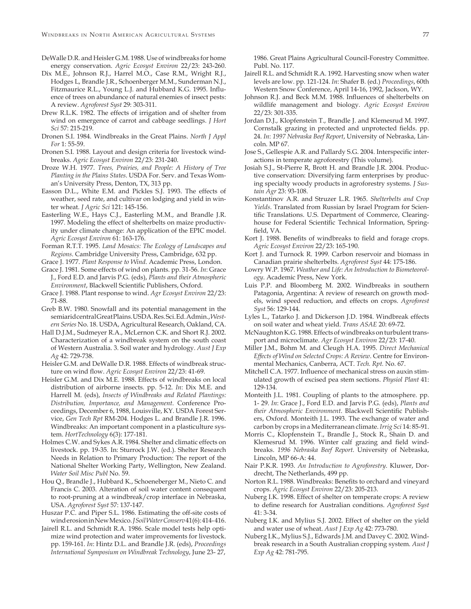- DeWalle D.R. and Heisler G.M. 1988. Use of windbreaks for home energy conservation. *Agric Ecosyst Environ* 22/23: 243-260.
- Dix M.E., Johnson R.J., Harrel M.O., Case R.M., Wright R.J., Hodges L, Brandle J.R., Schoenberger M.M., Sunderman N.J., Fitzmaurice R.L., Young L.J. and Hubbard K.G. 1995. Influence of trees on abundance of natural enemies of insect pests: A review. *Agroforest Syst* 29: 303-311.
- Drew R.L.K. 1982. The effects of irrigation and of shelter from wind on emergence of carrot and cabbage seedlings. *J Hort Sci* 57: 215-219.
- Dronen S.I. 1984. Windbreaks in the Great Plains. *North J Appl For* 1: 55-59.
- Dronen S.I. 1988. Layout and design criteria for livestock windbreaks. *Agric Ecosyst Environ* 22/23: 231-240.
- Droze W.H. 1977. *Trees, Prairies, and People: A History of Tree Planting in the Plains States*. USDA For. Serv. and Texas Woman's University Press, Denton, TX, 313 pp.
- Easson D.L., White E.M. and Pickles S.J. 1993. The effects of weather, seed rate, and cultivar on lodging and yield in winter wheat. *J Agric Sci* 121: 145-156.
- Easterling W.E., Hays C.J., Easterling M.M., and Brandle J.R. 1997. Modeling the effect of shelterbelts on maize productivity under climate change: An application of the EPIC model. *Agric Ecosyst Environ* 61: 163-176.
- Forman R.T.T. 1995. *Land Mosaics: The Ecology of Landscapes and Regions*. Cambridge University Press, Cambridge, 632 pp.
- Grace J. 1977. *Plant Response to Wind*. Academic Press, London.
- Grace J. 1981. Some effects of wind on plants. pp. 31-56. *In*: Grace J., Ford E.D. and Jarvis P.G. (eds), *Plants and their Atmospheric Environment*, Blackwell Scientific Publishers, Oxford.
- Grace J. 1988. Plant response to wind. *Agr Ecosyst Environ* 22/23: 71-88.
- Greb B.W. 1980. Snowfall and its potential management in the semiarid central Great Plains. USDA. Res. Sci. Ed. Admin., *Western Series* No. 18. USDA, Agricultural Research, Oakland, CA.
- Hall D.J.M., Sudmeyer R.A., McLernon C.K. and Short R.J. 2002. Characterization of a windbreak system on the south coast of Western Australia. 3. Soil water and hydrology. *Aust J Exp Ag* 42: 729-738.
- Heisler G.M. and DeWalle D.R. 1988. Effects of windbreak structure on wind flow. *Agric Ecosyst Environ* 22/23: 41-69.
- Heisler G.M. and Dix M.E. 1988. Effects of windbreaks on local distribution of airborne insects. pp. 5-12. *In*: Dix M.E. and Harrell M. (eds), *Insects of Windbreaks and Related Plantings: Distribution, Importance, and Management*. Conference Proceedings, December 6, 1988, Louisville, KY. USDA Forest Service, *Gen Tech Rpt* RM-204. Hodges L. and Brandle J.R. 1996. Windbreaks: An important component in a plasticulture system. *HortTechnology* 6(3): 177-181.
- Holmes C.W. and Sykes A.R. 1984. Shelter and climatic effects on livestock. pp. 19-35. In: Sturrock J.W. (ed.). Shelter Research Needs in Relation to Primary Production: The report of the National Shelter Working Party, Wellington, New Zealand. *Water Soil Misc Publ* No. 59.
- Hou Q., Brandle J., Hubbard K., Schoeneberger M., Nieto C. and Francis C. 2003. Alteration of soil water content consequent to root-pruning at a windbreak/crop interface in Nebraska, USA. *Agroforest Syst* 57: 137-147.
- Huszar P.C. and Piper S.L. 1986. Estimating the off-site costs of wind erosion in New Mexico. *J Soil Water Conserv* 41(6): 414- 416.
- Jairell R.L. and Schmidt R.A. 1986. Scale model tests help optimize wind protection and water improvements for livestock. pp. 159-161. *In*: Hintz D.L. and Brandle J.R. (eds), *Proceedings International Symposium on Windbreak Technology*, June 23- 27,

1986. Great Plains Agricultural Council-Forestry Committee. Publ. No. 117.

- Jairell R.L. and Schmidt R.A. 1992. Harvesting snow when water levels are low. pp. 121-124. *In*: Shafer B. (ed.) *Proceedings*, 60th Western Snow Conference, April 14-16, 1992, Jackson, WY.
- Johnson R.J. and Beck M.M. 1988. Influences of shelterbelts on wildlife management and biology. *Agric Ecosyst Environ* 22/23: 301-335.
- Jordan D.J., Klopfenstein T., Brandle J. and Klemesrud M. 1997. Cornstalk grazing in protected and unprotected fields. pp. 24. *In*: *1997 Nebraska Beef Report*, University of Nebraska, Lincoln. MP 67.
- Jose S., Gellespie A.R. and Pallardy S.G. 2004. Interspecific interactions in temperate agroforestry (This volume).
- Josiah S.J., St-Pierre R, Brott H. and Brandle J.R. 2004. Productive conservation: Diversifying farm enterprises by producing specialty woody products in agroforestry systems. *J Sustain Agr* 23: 93-108.
- Konstantinov A.R. and Struzer L.R. 1965. *Shelterbelts and Crop Yields*. Translated from Russian by Israel Program for Scientific Translations. U.S. Department of Commerce, Clearinghouse for Federal Scientific Technical Information, Springfield, VA.
- Kort J. 1988. Benefits of windbreaks to field and forage crops. *Agric Ecosyst Environ* 22/23: 165-190.
- Kort J. and Turnock R. 1999. Carbon reservoir and biomass in Canadian prairie shelterbelts. *Agroforest Syst* 44: 175-186.
- Lowry W.P. 1967. *Weather and Life: An Introduction to Biometeorology*. Academic Press, New York.
- Luis P.P. and Bloomberg M. 2002. Windbreaks in southern Patagonia, Argentina: A review of research on growth models, wind speed reduction, and effects on crops. *Agroforest Syst* 56: 129-144.
- Lyles L., Tatarko J. and Dickerson J.D. 1984. Windbreak effects on soil water and wheat yield. *Trans ASAE* 20: 69-72.
- McNaughton K.G. 1988. Effects of windbreaks on turbulent transport and microclimate. *Agr Ecosyst Environ* 22/23: 17-40.
- Miller J.M., Bohm M. and Cleugh H.A. 1995. *Direct Mechanical Effects of Wind on Selected Crops: A Review*. Centre for Environmental Mechanics, Canberra, ACT. *Tech. Rpt.* No. 67.
- Mitchell C.A. 1977. Influence of mechanical stress on auxin stimulated growth of excised pea stem sections. *Physiol Plant* 41: 129-134.
- Monteith J.L. 1981. Coupling of plants to the atmosphere. pp. 1- 29. *In*: Grace J., Ford E.D. and Jarvis P.G. (eds), *Plants and their Atmospheric Environment*. Blackwell Scientific Publishers, Oxford. Monteith J.L. 1993. The exchange of water and carbon by crops in a Mediterranean climate. *Irrig Sci* 14: 85-91.
- Morris C., Klopfenstein T., Brandle J., Stock R., Shain D. and Klemesrud M. 1996. Winter calf grazing and field windbreaks. *1996 Nebraska Beef Report*. University of Nebraska, Lincoln, MP 66-A: 44.
- Nair P.K.R. 1993. *An Introduction to Agroforestry*. Kluwer, Dordrecht, The Netherlands, 499 pp.
- Norton R.L. 1988. Windbreaks: Benefits to orchard and vineyard crops. *Agric Ecosyst Environ* 22/23: 205-213.
- Nuberg I.K. 1998. Effect of shelter on temperate crops: A review to define research for Australian conditions. *Agroforest Syst* 41: 3-34.
- Nuberg I.K. and Mylius S.J. 2002. Effect of shelter on the yield and water use of wheat. *Aust J Exp Ag* 42: 773-780.
- Nuberg I.K., Mylius S.J., Edwards J.M. and Davey C. 2002. Windbreak research in a South Australian cropping system. *Aust J Exp Ag* 42: 781-795.